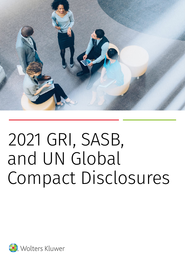

# 2021 GRI, SASB, and UN Global Compact Disclosures

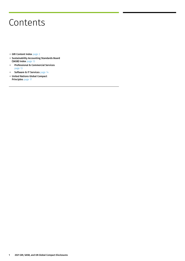## Contents

- → GRI Content Index page 2
- $\rightarrow$  Sustainability Accounting Standards Board (SASB) Index page 13
- → Professional & Commercial Services page 13
- → Software & IT Services page 14
- $\rightarrow$  United Nations Global Compact Principles page 17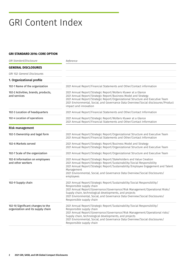# GRI Content Index

#### **GRI STANDARD 2016: CORE OPTION**

| GRI Standard/Disclosure                                                | Reference                                                                                                                                                                                                                                                                                                                                                  |  |
|------------------------------------------------------------------------|------------------------------------------------------------------------------------------------------------------------------------------------------------------------------------------------------------------------------------------------------------------------------------------------------------------------------------------------------------|--|
| <b>GENERAL DISCLOSURES</b>                                             |                                                                                                                                                                                                                                                                                                                                                            |  |
| GRI 102: General Disclosures                                           |                                                                                                                                                                                                                                                                                                                                                            |  |
| 1. Organizational profile                                              |                                                                                                                                                                                                                                                                                                                                                            |  |
| 102-1 Name of the organization                                         | 2021 Annual Report/Financial Statements and Other/Contact information                                                                                                                                                                                                                                                                                      |  |
| 102-2 Activities, brands, products,<br>and services                    | 2021 Annual Report/Strategic Report/Wolters Kluwer at a Glance<br>2021 Annual Report/Strategic Report/Business Model and Strategy<br>2021 Annual Report/Strategic Report/Organizational Structure and Executive Team<br>2021 Environmental, Social, and Governance Data Overview/Social disclosures/Product<br>impact and innovation                       |  |
| 102-3 Location of headquarters                                         | 2021 Annual Report/Financial Statements and Other/Contact Information                                                                                                                                                                                                                                                                                      |  |
| 102-4 Location of operations                                           | 2021 Annual Report/Strategic Report/Wolters Kluwer at a Glance<br>2021 Annual Report/Financial Statements and Other/Contact Information                                                                                                                                                                                                                    |  |
| <b>Risk management</b>                                                 |                                                                                                                                                                                                                                                                                                                                                            |  |
| 102-5 Ownership and legal form                                         | 2021 Annual Report/Strategic Report/Organizational Structure and Executive Team<br>2021 Annual Report/Financial Statements and Other/Contact Information                                                                                                                                                                                                   |  |
| 102-6 Markets served                                                   | 2021 Annual Report/Strategic Report/Business Model and Strategy<br>2021 Annual Report/Strategic Report/Organizational Structure and Executive Team                                                                                                                                                                                                         |  |
| 102-7 Scale of the organization                                        | 2021 Annual Report/Strategic Report/Organizational Structure and Executive Team                                                                                                                                                                                                                                                                            |  |
| 102-8 Information on employees<br>and other workers                    | 2021 Annual Report/Strategic Report/Stakeholders and Value Creation<br>2021 Annual Report/Strategic Report/Sustainability/Social Responsibility<br>2021 Annual Report/Strategic Report/Sustainability/Employee Engagement and Talent<br>Management<br>2021 Environmental, Social, and Governance Data Overview/Social Disclosures/<br>employees            |  |
| 102-9 Supply chain                                                     | 2021 Annual Report/Strategic Report/Sustainability/Social Responsibility/<br>Responsible supply chain<br>2021 Annual Report/Governance/Governance/Risk Management/Operational Risks/<br>Supply chain, technological developments, and projects<br>2021 Environmental, Social, and Governance Data Overview/Social Disclosures/<br>Responsible supply chain |  |
| 102-10 Significant changes to the<br>organization and its supply chain | 2021 Annual Report/Strategic Report/Sustainability/Social Responsibility/<br>Responsible supply chain<br>2021 Annual Report/Governance/Governance/Risk Management/Operational risks/<br>Supply chain, technological developments, and projects<br>2021 Environmental, Social, and Governance Data Overview/Social disclosures/<br>Responsible supply chain |  |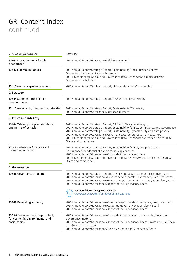| GRI Standard/Disclosure                                                                   | Reference                                                                                                                                                                                                                                                                                                                                                                                                                        |  |
|-------------------------------------------------------------------------------------------|----------------------------------------------------------------------------------------------------------------------------------------------------------------------------------------------------------------------------------------------------------------------------------------------------------------------------------------------------------------------------------------------------------------------------------|--|
| 102-11 Precautionary Principle<br>or approach                                             | 2021 Annual Report/Governance/Risk Management                                                                                                                                                                                                                                                                                                                                                                                    |  |
| 102-12 External initiatives                                                               | 2021 Annual Report/Strategic Report/Sustainability/Social Responsibility/<br>Community involvement and volunteering<br>2021 Environmental, Social. and Governance Data Overview/Social disclosures/<br>Community contributions                                                                                                                                                                                                   |  |
| 102-13 Membership of associations                                                         | 2021 Annual Report/Strategic Report/Stakeholders and Value Creation                                                                                                                                                                                                                                                                                                                                                              |  |
| 2. Strategy                                                                               |                                                                                                                                                                                                                                                                                                                                                                                                                                  |  |
| 102-14 Statement from senior<br>decision-maker                                            | 2021 Annual Report/Strategic Report/Q&A with Nancy McKinstry                                                                                                                                                                                                                                                                                                                                                                     |  |
| 102-15 Key impacts, risks, and opportunities                                              | 2021 Annual Report/Strategic Report/Sustainability/Materiality<br>2021 Annual Report/Governance/Risk Management                                                                                                                                                                                                                                                                                                                  |  |
| 3. Ethics and integrity                                                                   |                                                                                                                                                                                                                                                                                                                                                                                                                                  |  |
| 102-16 Values, principles, standards,<br>and norms of behavior                            | 2021 Annual Report/Strategic Report/Q&A with Nancy McKinstry<br>2021 Annual Report/Strategic Report/Sustainability/Ethics, Compliance, and Governance<br>2021 Annual Report/Strategic Report/Sustainability/Cybersecurity and data privacy<br>2021 Annual Report/Governance/Governance/Corporate Governance/Culture<br>2021 Environmental, Social, and Governance Data Overview/Governance Disclosures/<br>Ethics and compliance |  |
| 102-17 Mechanisms for advice and<br>concerns about ethics                                 | 2021 Annual Report/Strategic Report/Sustainability/Ethics, Compliance, and<br>Governance/Confidential channels for raising concerns<br>2021 Annual Report/Governance/Corporate Governance/Culture<br>2021 Environmental, Social, and Governance Data Overview/Governance Disclosures/<br>Ethics and compliance                                                                                                                   |  |
| 4. Governance                                                                             |                                                                                                                                                                                                                                                                                                                                                                                                                                  |  |
| 102-18 Governance structure                                                               | 2021 Annual Report/Strategic Report/Organizational Structure and Executive Team<br>2021 Annual Report/Governance/Governance/Corporate Governance/Executive Board<br>2021 Annual Report/Governance/Governance/Corporate Governance/Supervisory Board<br>2021 Annual Report/Governance/Report of the Supervisory Board<br>For more information, please refer to:<br>╙╻┙<br>www.wolterskluwer.com/en/about-us/management            |  |
| 102-19 Delegating authority                                                               | 2021 Annual Report/Governance/Governance/Corporate Governance/Executive Board<br>2021 Annual Report/Governance/Corporate Governance/Supervisory Board<br>2021 Annual Report/Governance/Report of the Supervisory Board                                                                                                                                                                                                           |  |
| 102-20 Executive-level responsibility<br>for economic, environmental and<br>social topics | 2021 Annual Report/Governance/Corporate Governance/Environmental, Social, and<br>Governance matters<br>2021 Annual Report/Governance/Report of the Supervisory Board/Environmental, Social,<br>and Governance matters<br>2021 Annual Report/Governance/Executive Board and Supervisory Board                                                                                                                                     |  |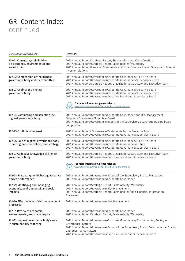| GRI Standard/Disclosure                                                            | Reference                                                                                                                                                                                                                                                                                    |  |
|------------------------------------------------------------------------------------|----------------------------------------------------------------------------------------------------------------------------------------------------------------------------------------------------------------------------------------------------------------------------------------------|--|
| 102-21 Consulting stakeholders<br>on economic, environmental and<br>social topics  | 2021 Annual Report/Strategic Report/Stakeholders and Value Creation<br>2021 Annual Report/Strategic Report/Sustainability/Materiality<br>2021 Annual Report/Financial Statements and Other/Wolters Kluwer Shares and Bonds/<br>Investor relations                                            |  |
| 102-22 Composition of the highest<br>governance body and its committees            | 2021 Annual Report/Governance/Corporate Governance/Executive Board<br>2021 Annual Report/Governance/Corporate Governance/Supervisory Board<br>2021 Annual Report/Strategic Report/Organizational Structure and Executive Team                                                                |  |
| 102-23 Chair of the highest<br>governance body                                     | 2021 Annual Report/Governance/Corporate Governance/Executive Board<br>2021 Annual Report/Governance/Corporate Governance/Supervisory Board<br>2021 Annual Report/Governance/Executive Board and Supervisory Board                                                                            |  |
|                                                                                    | For more information, please refer to:<br>╙╻┙<br>www.wolterskluwer.com/en/about-us/management                                                                                                                                                                                                |  |
| 102-24 Nominating and selecting the<br>highest governance body                     | 2021 Annual Report/Governance/Corporate Governance and Risk Management/<br>Corporate Governance/Executive Board<br>2021 Annual Report/Governance/Report of the Supervisory Board/Supervisory board<br>composition                                                                            |  |
| 102-25 Conflicts of interest                                                       | 2021 Annual Report/ Governance/Statements by the Executive Board<br>2021 Annual Report/Governance/Corporate Governance/Supervisory Board                                                                                                                                                     |  |
| 102-26 Role of highest governance body<br>in setting purpose, values, and strategy | 2021 Annual Report/Governance/Corporate Governance/Executive Board<br>2021 Annual Report/Governance/Corporate Governance/Culture<br>2021 Annual Report/Governance/Corporate Governance/Supervisory Board                                                                                     |  |
| 102-27 Collective knowledge of highest<br>governance body                          | 2021 Annual Report/Strategic Report/Organizational Structure and Executive Team<br>2021 Annual Report/Governance/Executive Board and Supervisory Board                                                                                                                                       |  |
|                                                                                    | For more information, please refer to:<br>$\mathbb{L}_{\mathbb{Q}}$<br>www.wolterskluwer.com/en/about-us/management                                                                                                                                                                          |  |
| 102-28 Evaluating the highest governance<br>body's performance                     | 2021 Annual Report/Governance/Report of the Supervisory Board/Evaluations<br>2021 Annual Report/Governance/Corporate Governance                                                                                                                                                              |  |
| 102-29 Identifying and managing<br>economic, environmental, and social<br>impacts  | 2021 Annual Report/Strategic Report/Sustainability/Materiality<br>2021 Annual Report/Governance/Risk Management<br>2021 Annual Report/Strategic Report/Sustainability/Non-Financial Information<br>Statement                                                                                 |  |
| 102-30 Effectiveness of risk management<br>processes                               | 2021 Annual Report/Governance/Risk Management                                                                                                                                                                                                                                                |  |
| 102-31 Review of economic,<br>environmental, and social topics                     | 2021 Annual Report/Governance/Corporate Governance<br>2021 Annual Report/Strategic Report/Sustainability/Materiality                                                                                                                                                                         |  |
| 102-32 Highest governance body's role<br>in sustainability reporting               | 2021 Annual Report/Governance/Corporate Governance/Environmental, Social, and<br>Governance matters<br>2021 Annual Report/Governance/Report of the Supervisory Board/Environmental, Social,<br>and Governance matters<br>2021 Annual Report/Governance/Executive Board and Supervisory Board |  |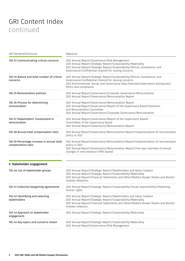| GRI Standard/Disclosure                                          | Reference                                                                                                                                                                                                                                                |
|------------------------------------------------------------------|----------------------------------------------------------------------------------------------------------------------------------------------------------------------------------------------------------------------------------------------------------|
| 102-33 Communicating critical concerns                           | 2021 Annual Report/Governance/Risk Management<br>2021 Annual Report/Strategic Report/Sustainability/Materiality<br>2021 Annual Report/Strategic Report/Sustainability/Ethical, Compliance, and<br>Governance/Confidential channel for raising concerns   |
| 102-34 Nature and total number of critical<br>concerns           | 2021 Annual Report/Strategic Report/Sustainability/Ethical, Compliance, and<br>Governance/Confidential channel for raising concerns<br>2021 Environmental, Social, and Governance Data Overview/Governance disclosures/<br>Ethics and compliance         |
| 102-35 Remuneration policies                                     | 2021 Annual Report/Governance/Corporate Governance/Remuneration<br>2021 Annual Report/Governance/Remuneration Report                                                                                                                                     |
| 102-36 Process for determining<br>remuneration                   | 2021 Annual Report/Governance/Remuneration Report<br>2021 Annual Report/Governance/Report of the Supervisory Board/Selection<br>and Remuneration Committee<br>2021 Annual Report/Governance/Corporate Governance/Remuneration                            |
| 102-37 Stakeholders' involvement in<br>remuneration              | 2021 Annual Report/Governance/Report of the Supervisory Board/<br>Committees of the Supervisory Board<br>2021 Annual Report/Governance/Remuneration Report                                                                                               |
| 102-38 Annual total compensation ratio                           | 2021 Annual Report/Governance/Remuneration Report/Implementation of remuneration<br>policy in 2021                                                                                                                                                       |
| 102-39 Percentage increase in annual total<br>compensation ratio | 2021 Annual Report/Governance/Remuneration Report/Implementation of remuneration<br>policy in 2021<br>2021 Annual Report/Governance/Remuneration Report/Five-year overview of annual<br>changes in remuneration (IFRS based)                             |
| 5. Stakeholder engagement                                        |                                                                                                                                                                                                                                                          |
| 102-40 List of stakeholder groups                                | 2021 Annual Report/Strategic Report/Stakeholders and Value Creation<br>2021 Annual Report/Strategic Report/Sustainability/Materiality<br>2021 Annual Report/Financial Statements and Other/Wolters Kluwer Shares and Bonds/<br><b>Investor Relations</b> |
| 102-41 Collective bargaining agreements                          | 2021 Annual Report/Strategic Report/Sustainability/Social responsibility/Protecting<br>human rights                                                                                                                                                      |
| 102-42 Identifying and selecting<br>stakeholders                 | 2021 Annual Report/Strategic Report/Stakeholders and Value Creation<br>2021 Annual Report/Strategic Report/Sustainability/Materiality<br>2021 Annual Report/Financial Statements and Other/Wolters Kluwer Shares and Bonds/<br>Investor relations        |
| 102-43 Approach to stakeholder<br>engagement                     | 2021 Annual Report/Strategic Report/Sustainability/Materiality                                                                                                                                                                                           |
| 102-44 Key topics and concerns raised                            | 2021 Annual Report/Strategic Report/Sustainability/Materiality<br>2021 Annual Report/Governance/Risk Management                                                                                                                                          |
|                                                                  |                                                                                                                                                                                                                                                          |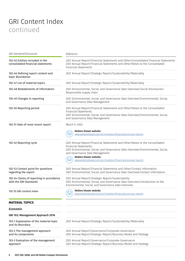| GRI Standard/Disclosure                                              | Reference                                                                                                                                                                                                                                                                                                                                |
|----------------------------------------------------------------------|------------------------------------------------------------------------------------------------------------------------------------------------------------------------------------------------------------------------------------------------------------------------------------------------------------------------------------------|
| 102-45 Entities included in the<br>consolidated financial statements | 2021 Annual Report/Financial Statements and Other/Consolidated Financial Statements<br>2021 Annual Report/Financial Statements and Other/Notes to the Consolidated<br><b>Financial Statements</b>                                                                                                                                        |
| 102-46 Defining report content and<br>topic Boundaries               | 2021 Annual Report/Strategic Report/Sustainability/Materiality                                                                                                                                                                                                                                                                           |
| 102-47 List of material topics                                       | 2021 Annual Report/Strategic Report/Sustainability/Materiality                                                                                                                                                                                                                                                                           |
| 102-48 Restatements of information                                   | 2021 Environmental, Social, and Governance Data Overview/Social Disclosures/<br>Responsible supply chain                                                                                                                                                                                                                                 |
| 102-49 Changes in reporting                                          | 2021 Environmental, Social, and Governance Data Overview/Environmental, Social,<br>and Governance Data Management                                                                                                                                                                                                                        |
| 102-50 Reporting period                                              | 2021 Annual Report/Financial Statements and Other/Notes to the Consolidated<br><b>Financial Statements</b><br>2021 Environmental, Social, and Governance Data Overview/Environmental, Social,<br>and Governance Data Management                                                                                                          |
| 102-51 Date of most recent report                                    | March 9, 2022                                                                                                                                                                                                                                                                                                                            |
|                                                                      | <b>Wolters Kluwer website:</b><br>╙╻┙<br>www.wolterskluwer.com/en/investors/financials/annual-reports                                                                                                                                                                                                                                    |
| 102-52 Reporting cycle                                               | 2021 Annual Report/Financial Statements and Other/Notes to the Consolidated<br><b>Financial Statements</b><br>2021 Environmental, Social, and Governance Data Overview/Environmental, Social,<br>and Governance Data Management<br><b>Wolters Kluwer website:</b><br>╙╣┙<br>www.wolterskluwer.com/en/investors/financials/annual-reports |
| 102-53 Contact point for questions<br>regarding the report           | 2021 Annual Report/Financial Statements and Other/Contact information<br>2021 Environmental, Social, and Governance Data Overview/Contact information                                                                                                                                                                                    |
| 102-54 Claims of reporting in accordance<br>with the GRI Standards   | 2021 Annual Report/Strategic Report/Sustainability<br>2021 Environmental, Social, and Governance Data Overview/Introduction to the<br>Environmental, Social, and Governance Data Overview                                                                                                                                                |
| 102-55 GRI content index                                             | <b>Wolters Kluwer website:</b><br>Щ<br>www.wolterskluwer.com/en/investors/financials/annual-reports                                                                                                                                                                                                                                      |
| <b>MATERIAL TOPICS</b>                                               |                                                                                                                                                                                                                                                                                                                                          |
| Economic                                                             |                                                                                                                                                                                                                                                                                                                                          |
| GRI 103: Management Approach 2016                                    |                                                                                                                                                                                                                                                                                                                                          |
| 103-1 Explanation of the material topic<br>and its Boundary          | 2021 Annual Report/Strategic Report/Sustainability/Materiality                                                                                                                                                                                                                                                                           |
| 103-2 The management approach<br>and its components                  | 2021 Annual Report/Governance/Corporate Governance<br>2021 Annual Report/Strategic Report/Business Model and Strategy                                                                                                                                                                                                                    |
| 103-3 Evaluation of the management<br>approach                       | 2021 Annual Report/Governance/Corporate Governance<br>2021 Annual Report/Strategic Report/Business Model and Strategy                                                                                                                                                                                                                    |
|                                                                      |                                                                                                                                                                                                                                                                                                                                          |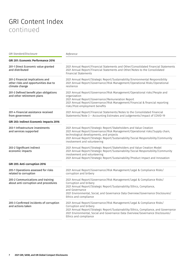| GRI Standard/Disclosure                                                                    | Reference                                                                                                                                                                                                                                                                                                              |  |
|--------------------------------------------------------------------------------------------|------------------------------------------------------------------------------------------------------------------------------------------------------------------------------------------------------------------------------------------------------------------------------------------------------------------------|--|
| <b>GRI 201: Economic Performance 2016</b>                                                  |                                                                                                                                                                                                                                                                                                                        |  |
| 201-1 Direct Economic value granted<br>and distributed                                     | 2021 Annual Report/Financial Statements and Other/Consolidated Financial Statements<br>2021 Annual Report/Financial Statements and Other/Notes to the Consolidated<br><b>Financial Statements</b>                                                                                                                      |  |
| 201-2 Financial implications and<br>other risks and opportunities due to<br>climate change | 2021 Annual Report/Strategic Report/Sustainability/Environmental Responsibility<br>2021 Annual Report/Governance/Risk Management/Operational Risks/Operational<br>resilience                                                                                                                                           |  |
| 201-3 Defined benefit plan obligations<br>and other retirement plans                       | 2021 Annual Report/Governance/Risk Management/Operational risks/People and<br>organization<br>2021 Annual Report/Governance/Remuneration Report<br>2021 Annual Report/Governance/Risk Management/Financial & financial reporting<br>risks/Post-employment benefits                                                     |  |
| 201-4 Financial assistance received<br>from government                                     | 2021 Annual Report/Financial Statements/Notes to the Consolidated Financial<br>Statements/Note 3 - Accounting Estimates and Judgements/Impact of COVID-19                                                                                                                                                              |  |
| GRI 203: Indirect Economic Impacts 2016                                                    |                                                                                                                                                                                                                                                                                                                        |  |
| 203-1 Infrastructure investments<br>and services supported                                 | 2021 Annual Report/Strategic Report/Stakeholders and Value Creation<br>2021 Annual Report/Governance/Risk Management/Operational risks/Supply chain,<br>technological developments, and projects<br>2021 Annual Report/Strategic Report/Sustainability/Social Responsibility/Community<br>involvement and volunteering |  |
| 203-2 Significant indirect<br>economic impacts                                             | 2021 Annual Report/Strategic Report/Stakeholders and Value Creation Model<br>2021 Annual Report/Strategic Report/Sustainability/Social Responsibility/Community<br>involvement and volunteering<br>2021 Annual Report/Strategic Report/Sustainability/Product Impact and Innovation                                    |  |
| GRI 205: Anti-corruption 2016                                                              |                                                                                                                                                                                                                                                                                                                        |  |
| 205-1 Operations assessed for risks<br>related to corruption                               | 2021 Annual Report/Governance/Risk Management/Legal & Compliance Risks/<br>corruption and bribery                                                                                                                                                                                                                      |  |
| 205-2 Communications and training<br>about anti-corruption and procedures                  | 2021 Annual Report/Governance/Risk Management/Legal & Compliance Risks/<br>Corruption and bribery<br>2021 Annual Report/Strategic Report/Sustainability/Ethics, Compliance,<br>and Governance<br>2021 Environmental, Social, and Governance Data Overview/Governance Disclosures/<br>Ethics and compliance             |  |
| 205-3 Confirmed incidents of corruption<br>and actions taken                               | 2021 Annual Report/Governance/Risk Management/Legal & Compliance Risks/<br>Corruption and bribery<br>2021 Annual Report/Strategic Report/Sustainability/Ethics, Compliance, and Governance<br>2021 Environmental, Social and Governance Data Overview/Governance Disclosures/<br>Ethics and compliance                 |  |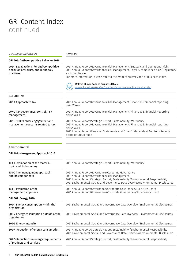| GRI Standard/Disclosure                                                                     | Reference                                                                                                                                                                                                                                                                                                                                                                                                                          |  |
|---------------------------------------------------------------------------------------------|------------------------------------------------------------------------------------------------------------------------------------------------------------------------------------------------------------------------------------------------------------------------------------------------------------------------------------------------------------------------------------------------------------------------------------|--|
| GRI 206: Anti-competitive Behavior 2016                                                     |                                                                                                                                                                                                                                                                                                                                                                                                                                    |  |
| 206-1 Legal actions for anti-competitive<br>behavior, anti-trust, and monopoly<br>practices | 2021 Annual Report/Governance/Risk Management/Strategic and operational risks<br>2021 Annual Report/Governance/Risk Management/Legal & compliance risks/Regulatory<br>and compliance<br>For more information, please refer to the Wolters Kluwer Code of Business Ethics<br><b>Wolters Kluwer Code of Business Ethics:</b><br>$\mathfrak{t}_{\mathfrak{a}}$<br>www.wolterskluwer.com/en/investors/governance/policies-and-articles |  |
| <b>GRI 207: Tax</b>                                                                         |                                                                                                                                                                                                                                                                                                                                                                                                                                    |  |
| 207-1 Approach to Tax                                                                       | 2021 Annual Report/Governance/Risk Management/Financial & financial reporting<br>risks/Taxes                                                                                                                                                                                                                                                                                                                                       |  |
| 207-2 Tax governance, control, risk<br>management                                           | 2021 Annual Report/Governance/Risk Management/Financial & financial Reporting<br>risks/Taxes                                                                                                                                                                                                                                                                                                                                       |  |
| 207-3 Stakeholder engagement and<br>management concerns related to tax                      | 2021 Annual Report/Strategic Report/Sustainability/Materiality<br>2021 Annual Report/Governance/Risk Management/Financial & financial reporting<br>risks/Taxes<br>2021 Annual Report/Financial Statements and Other/Independent Auditor's Report/<br>Scope of Group Audit                                                                                                                                                          |  |
| <b>Environmental</b>                                                                        |                                                                                                                                                                                                                                                                                                                                                                                                                                    |  |
| GRI 103: Management Approach 2016                                                           |                                                                                                                                                                                                                                                                                                                                                                                                                                    |  |
| 103-1 Explanation of the material<br>topic and its boundary                                 | 2021 Annual Report/Strategic Report/Sustainability/Materiality                                                                                                                                                                                                                                                                                                                                                                     |  |
| 103-2 The management approach<br>and its components                                         | 2021 Annual Report/Governance/Corporate Governance<br>2021 Annual Report/Governance/Risk Management<br>2021 Annual Report/Strategic Report/Sustainability/Environmental Responsibility<br>2021 Environmental, Social, and Governance Data Overview/Environmental Disclosures                                                                                                                                                       |  |
| 103-3 Evaluation of the<br>management approach                                              | 2021 Annual Report/Governance/Corporate Governance/Executive Board<br>2021 Annual Report/Governance/Corporate Governance/Supervisory Board                                                                                                                                                                                                                                                                                         |  |
| GRI 302: Energy 2016                                                                        |                                                                                                                                                                                                                                                                                                                                                                                                                                    |  |
| 302-1 Energy consumption within the<br>organization                                         | 2021 Environmental, Social and Governance Data Overview/Environmental Disclosures                                                                                                                                                                                                                                                                                                                                                  |  |
| 302-2 Energy consumption outside of the<br>organization                                     | 2021 Environmental, Social and Governance Data Overview/Environmental Disclosures                                                                                                                                                                                                                                                                                                                                                  |  |
| 302-3 Energy Intensity                                                                      | 2021 Environmental, Social and Governance Data Overview/Environmental Disclosures                                                                                                                                                                                                                                                                                                                                                  |  |
| 302-4 Reduction of energy consumption                                                       | 2021 Annual Report/Strategic Report/Sustainability/Environmental Responsibility<br>2021 Environmental, Social, and Governance Data Overview/Environmental Disclosures                                                                                                                                                                                                                                                              |  |
| 302-5 Reductions in energy requirements<br>of products and services                         | 2021 Annual Report/Strategic Report/Sustainability/Environmental Responsibility                                                                                                                                                                                                                                                                                                                                                    |  |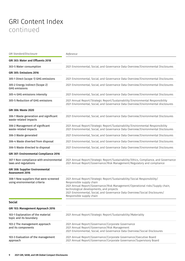| GRI Standard/Disclosure                                                | Reference                                                                                                                                                                                                                                                                                                                                      |  |  |
|------------------------------------------------------------------------|------------------------------------------------------------------------------------------------------------------------------------------------------------------------------------------------------------------------------------------------------------------------------------------------------------------------------------------------|--|--|
| GRI 303: Water and Effluents 2018                                      |                                                                                                                                                                                                                                                                                                                                                |  |  |
| 303-5 Water consumption                                                | 2021 Environmental, Social, and Governance Data Overview/Environmental Disclosures                                                                                                                                                                                                                                                             |  |  |
| GRI 305: Emissions 2016                                                |                                                                                                                                                                                                                                                                                                                                                |  |  |
| 305-1 Direct (scope 1) GHG emissions                                   | 2021 Environmental, Social, and Governance Data Overview/Environmental Disclosures                                                                                                                                                                                                                                                             |  |  |
| 305-2 Energy indirect (Scope 2)<br><b>GHG</b> emissions                | 2021 Environmental, Social, and Governance Data Overview/Environmental Disclosures                                                                                                                                                                                                                                                             |  |  |
| 305-4 GHG emissions intensity                                          | 2021 Environmental, Social, and Governance Data Overview/Environmental Disclosures                                                                                                                                                                                                                                                             |  |  |
| 305-5 Reduction of GHG emissions                                       | 2021 Annual Report/Strategic Report/Sustainability/Environmental Responsibility<br>2021 Environmental, Social, and Governance Data Overview/Environmental disclosures                                                                                                                                                                          |  |  |
| <b>GRI 306: Waste 2020</b>                                             |                                                                                                                                                                                                                                                                                                                                                |  |  |
| 306-1 Waste generation and significant<br>waste-related impacts        | 2021 Environmental, Social, and Governance Data Overview/Environmental Disclosures                                                                                                                                                                                                                                                             |  |  |
| 306-2 Management of significant<br>waste-related impacts               | 2021 Annual Report/Strategic Report/Sustainability/Environmental Responsibility<br>2021 Environmental, Social, and Governance Data Overview/Environmental Disclosures                                                                                                                                                                          |  |  |
| 306-3 Waste generated                                                  | 2021 Environmental, Social, and Governance Data Overview/Environmental Disclosures                                                                                                                                                                                                                                                             |  |  |
| 306-4 Waste diverted from disposal                                     | 2021 Environmental, Social, and Governance Data Overview/Environmental Disclosures                                                                                                                                                                                                                                                             |  |  |
| 306-5 Waste directed to disposal                                       | 2021 Environmental, Social, and Governance Data Overview/Environmental Disclosures                                                                                                                                                                                                                                                             |  |  |
| GRI 307: Environmental Compliance 2016                                 |                                                                                                                                                                                                                                                                                                                                                |  |  |
| 307-1 Non-compliance with environmental<br>laws and regulations        | 2021 Annual Report/Strategic Report/Sustainability/Ethics, Compliance, and Governance<br>2021 Annual Report/Governance/Risk Management/Regulatory and compliance                                                                                                                                                                               |  |  |
| <b>GRI 308: Supplier Environmental</b><br><b>Assessment 2016</b>       |                                                                                                                                                                                                                                                                                                                                                |  |  |
| 308-1 New suppliers that were screened<br>using environmental criteria | 2021 Annual Report/Strategic Report/Sustainability/Social Responsibility/<br>Responsible supply chain<br>2021 Annual Report/Governance/Risk Management/Operational risks/Supply chain,<br>technological developments, and projects<br>2021 Environmental, Social, and Governance Data Overview/Social Disclosures/<br>Responsible supply chain |  |  |
| <b>Social</b>                                                          |                                                                                                                                                                                                                                                                                                                                                |  |  |
| GRI 103: Management Approach 2016                                      |                                                                                                                                                                                                                                                                                                                                                |  |  |
| 103-1 Explanation of the material<br>topic and its boundary            | 2021 Annual Report/Strategic Report/Sustainability/Materiality                                                                                                                                                                                                                                                                                 |  |  |
| 103-2 The management approach<br>and its components                    | 2021 Annual Report/Governance/Corporate Governance<br>2021 Annual Report/Governance/Risk Management<br>2021 Environmental, Social, and Governance Data Overview/Social Disclosures                                                                                                                                                             |  |  |
| 103-3 Evaluation of the management<br>approach                         | 2021 Annual Report/Governance/Corporate Governance/Executive Board<br>2021 Annual Report/Governance/Corporate Governance/Supervisory Board                                                                                                                                                                                                     |  |  |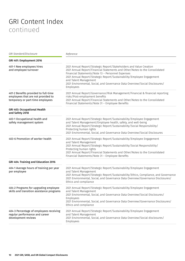| GRI Standard/Disclosure                                                                                        | Reference                                                                                                                                                                                                                                                                                                                                                                                               |
|----------------------------------------------------------------------------------------------------------------|---------------------------------------------------------------------------------------------------------------------------------------------------------------------------------------------------------------------------------------------------------------------------------------------------------------------------------------------------------------------------------------------------------|
| GRI 401: Employment 2016                                                                                       |                                                                                                                                                                                                                                                                                                                                                                                                         |
| 401-1 New employees hires<br>and employee turnover                                                             | 2021 Annual Report/Strategic Report/Stakeholders and Value Creation<br>2021 Annual Report/Financial Statements and Other/Notes to the Consolidated<br>Financial Statements/Note 13 - Personnel Expenses<br>2021 Annual Report/Strategic Report/Sustainability/Employee Engagement<br>and Talent Management<br>2021 Environmental, Social, and Governance Data Overview/Social Disclosures/<br>Employees |
| 401-2 Benefits provided to full-time<br>employees that are not provided to<br>temporary or part-time employees | 2021 Annual Report/Governance/Risk Management/Financial & financial reporting<br>risks/Post-employment benefits<br>2021 Annual Report/Financial Statements and Other/Notes to the Consolidated<br>Financial Statements/Note 31 - Employee Benefits                                                                                                                                                      |
| GRI 403: Occupational Health<br>and Safety 2018                                                                |                                                                                                                                                                                                                                                                                                                                                                                                         |
| 403-1 Occupational health and<br>safety management system                                                      | 2021 Annual Report/Strategic Report/Sustainability/Employee Engagement<br>and Talent Management/Employee health, safety, and well-being<br>2021 Annual Report/Strategic Report/Sustainability/Social Responsibility/<br>Protecting human rights<br>2021 Environmental, Social, and Governance Data Overview/Social Disclosures                                                                          |
| 403-6 Promotion of worker health                                                                               | 2021 Annual Report/Strategic Report/Sustainability/Employee Engagement<br>and Talent Management<br>2021 Annual Report/Strategic Report/Sustainability/Social Responsibility/<br>Protecting human rights<br>2021 Annual Report/Financial Statements and Other/Notes to the Consolidated<br>Financial Statements/Note 31 - Employee Benefits                                                              |
| GRI 404: Training and Education 2016                                                                           |                                                                                                                                                                                                                                                                                                                                                                                                         |
| 404-1 Average hours of training per year<br>per employee                                                       | 2021 Annual Report/Strategic Report/Sustainability/Employee Engagement<br>and Talent Management<br>2021 Annual Report/Strategic Report/Sustainability/Ethics, Compliance, and Governance<br>2021 Environmental, Social, and Governance Data Overview/Governance Disclosures/<br>Ethics and compliance                                                                                                   |
| 404-2 Programs for upgrading employee<br>skills and transition assistance programs                             | 2021 Annual Report/Strategic Report/Sustainability/Employee Engagement<br>and Talent Management<br>2021 Environmental, Social, and Governance Data Overview/Social Disclosures/<br>Employees<br>2021 Environmental, Social, and Governance Data Overview/Governance Disclosures/<br>Ethics and compliance                                                                                               |
| 404-3 Percentage of employees receiving<br>regular performance and career<br>development reviews               | 2021 Annual Report/Strategic Report/Sustainability/Employee Engagement<br>and Talent Management<br>2021 Environmental, Social, and Governance Data Overview/Social disclosures/<br>Employees                                                                                                                                                                                                            |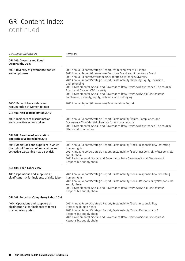| <b>GRI Standard/Disclosure</b><br>Reference                                                                                |                                                                                                                                                                                                                                                                                                                                                                                                                                                                                                                                                                             |
|----------------------------------------------------------------------------------------------------------------------------|-----------------------------------------------------------------------------------------------------------------------------------------------------------------------------------------------------------------------------------------------------------------------------------------------------------------------------------------------------------------------------------------------------------------------------------------------------------------------------------------------------------------------------------------------------------------------------|
| GRI 405: Diversity and Equal<br>Opportunity 2016                                                                           |                                                                                                                                                                                                                                                                                                                                                                                                                                                                                                                                                                             |
| 405-1 Diversity of governance bodies<br>and employees                                                                      | 2021 Annual Report/Strategic Report/Wolters Kluwer at a Glance<br>2021 Annual Report/Governance/Executive Board and Supervisory Board<br>2021 Annual Report/Governance/Corporate Governance/Diversity<br>2021 Annual Report/Strategic Report/Sustainability/Diversity, Equity, Inclusion,<br>and Belonging<br>2021 Environmental, Social, and Governance Data Overview/Governance Disclosures/<br>Board and Division CEO diversity<br>2021 Environmental, Social, and Governance Data Overview/Social Disclosures/<br>Employees/Diversity, equity, inclusion, and belonging |
| 405-2 Ratio of basic salary and<br>remuneration of women to men                                                            | 2021 Annual Report/Governance/Remuneration Report                                                                                                                                                                                                                                                                                                                                                                                                                                                                                                                           |
| GRI 406: Non-discrimination 2016                                                                                           |                                                                                                                                                                                                                                                                                                                                                                                                                                                                                                                                                                             |
| 406-1 Incidents of discrimination<br>and corrective actions taken                                                          | 2021 Annual Report/Strategic Report/Sustainability/Ethics, Compliance, and<br>Governance/Confidential channels for raising concerns<br>2021 Environmental, Social, and Governance Data Overview/Governance Disclosures/<br>Ethics and compliance                                                                                                                                                                                                                                                                                                                            |
| GRI 407: Freedom of association<br>and collective bargaining 2016                                                          |                                                                                                                                                                                                                                                                                                                                                                                                                                                                                                                                                                             |
| 407-1 Operations and suppliers in which<br>the right of freedom of association and<br>collective bargaining may be at risk | 2021 Annual Report/Strategic Report/Sustainability/Social responsibility/Protecting<br>human rights<br>2021 Annual Report/Strategic Report/Sustainability/Social Responsibility/Responsible<br>supply chain<br>2021 Environmental, Social, and Governance Data Overview/Social Disclosures/<br>Responsible supply chain                                                                                                                                                                                                                                                     |
| <b>GRI 408: Child Labor 2016</b>                                                                                           |                                                                                                                                                                                                                                                                                                                                                                                                                                                                                                                                                                             |
| 408-1 Operations and suppliers at<br>significant risk for incidents of child labor                                         | 2021 Annual Report/Strategic Report/Sustainability/Social responsibility/Protecting<br>human rights<br>2021 Annual Report/Strategic Report/Sustainability/Social Responsibility/Responsible<br>supply chain<br>2021 Environmental, Social, and Governance Data Overview/Social Disclosures/<br>Responsible supply chain                                                                                                                                                                                                                                                     |
| GRI 409: Forced or Compulsory Labor 2016                                                                                   |                                                                                                                                                                                                                                                                                                                                                                                                                                                                                                                                                                             |
| 409-1 Operations and suppliers at<br>significant risk for incidents of forced<br>or compulsory labor                       | 2021 Annual Report/Strategic Report/Sustainability/Social responsibility/<br>Protecting human rights<br>2021 Annual Report/Strategic Report/Sustainability/Social Responsibility/<br>Responsible supply chain<br>2021 Environmental, Social, and Governance Data Overview/Social Disclosures/<br>Responsible supply chain                                                                                                                                                                                                                                                   |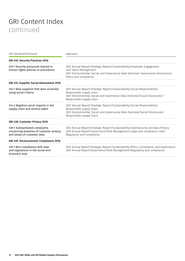| <b>GRI Standard/Disclosure</b>                                                                           | Reference                                                                                                                                                                                                         |  |
|----------------------------------------------------------------------------------------------------------|-------------------------------------------------------------------------------------------------------------------------------------------------------------------------------------------------------------------|--|
| GRI 410: Security Practices 2016                                                                         |                                                                                                                                                                                                                   |  |
| 410-1 Security personnel trained in<br>human rights policies or procedures                               | 2021 Annual Report/Strategic Report/Sustainability/Employee Engagement<br>and Talent Management<br>2021 Environmental, Social, and Governance Data Overview/ Governance Disclosures/<br>Ethics and compliance     |  |
| GRI 414: Supplier Social Assessment 2016                                                                 |                                                                                                                                                                                                                   |  |
| 414-1 New suppliers that were screened<br>using social criteria                                          | 2021 Annual Report/Strategic Report/Sustainability/Social Responsibility/<br>Responsible supply chain<br>2021 Environmental, Social and Governance Data Overview/Social Disclosures/<br>Responsible supply chain  |  |
| 414-2 Negative social impacts in the<br>supply chain and actions taken                                   | 2021 Annual Report/Strategic Report/Sustainability/Social Responsibility/<br>Responsible supply chain<br>2021 Environmental, Social, and Governance Data Overview/Social Disclosures/<br>Responsible supply chain |  |
| GRI 418: Customer Privacy 2016                                                                           |                                                                                                                                                                                                                   |  |
| 418-1 Substantiated complaints<br>concerning breaches of customer privacy<br>and losses of customer data | 2021 Annual Report/Strategic Report/Sustainability/Cybersecurity and Data Privacy<br>2021 Annual Report/Governance/Risk Management/Legal and compliance risks/<br>Regulatory and compliance                       |  |
| GRI 419: Socioeconomic Compliance 2016                                                                   |                                                                                                                                                                                                                   |  |
| 419-1 Non-compliance with laws<br>and regulations in the social and<br>economic area                     | 2021 Annual Report/Strategic Report/Sustainability/Ethics, Compliance, and Governance<br>2021 Annual Report/Governance/Risk Management/Regulatory and compliance                                                  |  |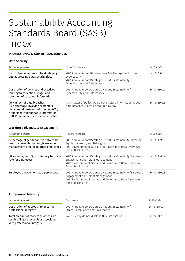# Sustainability Accounting Standards Board (SASB) Index

#### **PROFESSIONAL & COMMERCIAL SERVICES**

#### Data Security

| Accounting metric                                                                                                                                                                                   | Report reference                                                                                                                                               | SASB Code    |
|-----------------------------------------------------------------------------------------------------------------------------------------------------------------------------------------------------|----------------------------------------------------------------------------------------------------------------------------------------------------------------|--------------|
| Description of approach to identifying<br>and addressing data security risks                                                                                                                        | 2021 Annual Report/Governance/Risk Management/IT and<br>Cybersecurity<br>2021 Annual Report/Strategic Report/Sustainability/<br>Cybersecurity and Data Privacy | SV-PS-230a.1 |
| Description of policies and practices<br>relating to collection, usage, and<br>retention of customer information                                                                                    | 2021 Annual Report/Strategic Report/Sustainability/<br>Cybersecurity and Data Privacy                                                                          | SV-PS-230a.2 |
| (1) Number of data breaches,<br>(2) percentage involving customers'<br>confidential business information (CBI)<br>or personally identifiable information<br>(PII), (3) number of customers affected | As a matter of policy, we do not disclose information about<br>data breaches except as required by law.                                                        | SV-PS-230a.3 |

#### Workforce Diversity & Engagement

| Accounting metric                                                                                                          | Report reference                                                                                                                                                                     | SASB Code    |
|----------------------------------------------------------------------------------------------------------------------------|--------------------------------------------------------------------------------------------------------------------------------------------------------------------------------------|--------------|
| Percentage of gender and racial/ethnic<br>group representation for (1) executive<br>management and (2) all other employees | 2021 Annual Report/Strategic Report/Sustainability/Diversity,<br>Equity, Inclusion, and Belonging<br>2021 Environmental, Social, and Governance Data Overview/<br>Social Disclosures | SV-PS-330a.1 |
| (1) Voluntary and (2) involuntary turnover<br>rate for employees                                                           | 2021 Annual Report/Strategic Report/Sustainability/Employee<br>Engagement and Talent Management<br>2021 Environmental, Social, and Governance Data Overview/<br>Social Disclosures   | SV-PS-330a.2 |
| Employee engagement as a percentage                                                                                        | 2021 Annual Report/Strategic Report/Sustainability/Employee<br>Engagement and Talent Management<br>2021 Environmental, Social, and Governance Data Overview/<br>Social disclosures   | SV-PS-330a.3 |
| <b>Professional Integrity</b>                                                                                              |                                                                                                                                                                                      |              |
| Accounting metric                                                                                                          | Disclosure                                                                                                                                                                           | SASB Code    |
| Description of approach to ensuring<br>professional integrity                                                              | 2021 Annual Report/Strategic Report/Sustainability/<br>Ethics, Compliance and Governance                                                                                             | SV-PS-510a.1 |
| Total amount of monetary losses as a<br>result of legal proceedings associated<br>with professional integrity              | We currently do not disclose this information.                                                                                                                                       | SV-PS-510a.2 |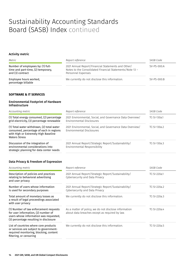### Sustainability Accounting Standards Board (SASB) Index continued

#### Activity metric

| Metric                                                                                      | Report reference                                                                                                                     | SASB Code     |
|---------------------------------------------------------------------------------------------|--------------------------------------------------------------------------------------------------------------------------------------|---------------|
| Number of employees by: (1) full-<br>time and part-time, (2) temporary,<br>and (3) contract | 2021 Annual Report/Financial Statements and Other/<br>Notes to the Consolidated Financial Statements/Note 13 -<br>Personnel Expenses | $SV-PS-000.A$ |
| Employee hours worked,<br>percentage billable                                               | We currently do not disclose this information.                                                                                       | SV-PS-000.B   |
|                                                                                             |                                                                                                                                      |               |

#### **SOFTWARE & IT SERVICES**

#### Environmental Footprint of Hardware Infrastructure

| Accounting metric                                                                                                                                     | Report reference                                                                       | SASB Code      |
|-------------------------------------------------------------------------------------------------------------------------------------------------------|----------------------------------------------------------------------------------------|----------------|
| (1) Total energy consumed, (2) percentage<br>grid electricity, (3) percentage renewable                                                               | 2021 Environmental, Social, and Governance Data Overview/<br>Environmental Disclosures | TC-SI-130a.1   |
| (1) Total water withdrawn, (2) total water<br>consumed, percentage of each in regions<br>with High or Extremely High Baseline<br><b>Waters Stress</b> | 2021 Environmental, Social, and Governance Data Overview/<br>Environmental Disclosures | TC-SI-130a.2   |
| Discussion of the integration of<br>environmental considerations into<br>strategic planning for data center needs                                     | 2021 Annual Report/Strategic Report/Sustainability/<br>Environmental Responsibility    | $TC-SI-130a.3$ |

#### Data Privacy & Freedom of Expression

| Accounting metric                                                                                                                                                 | Report reference                                                                                        | SASB Code      |
|-------------------------------------------------------------------------------------------------------------------------------------------------------------------|---------------------------------------------------------------------------------------------------------|----------------|
| Description of policies and practices<br>relating to behavioral advertising<br>and user privacy                                                                   | 2021 Annual Report/Strategic Report/Sustainability/<br>Cybersecurity and Data Privacy                   | TC-SI-220a.1   |
| Number of users whose information<br>is used for secondary purposes                                                                                               | 2021 Annual Report/Strategic Report/Sustainability/<br>Cybersecurity and Data Privacy                   | TC-SI-220a.2   |
| Total amount of monetary losses as<br>a result of legal proceedings associated<br>with user privacy                                                               | We currently do not disclose this information.                                                          | TC-SI-220a.3   |
| (1) Number of law enforcement requests<br>for user information, (2) number of<br>users whose information was requested,<br>(3) percentage resulting in disclosure | As a matter of policy, we do not disclose information<br>about data breaches except as required by law. | $TC-SI-220a.4$ |
| List of countries where core products<br>or services are subject to government-<br>required monitoring, blocking, content<br>filtering, or censoring              | We currently do not disclose this information.                                                          | TC-SI-220a.5   |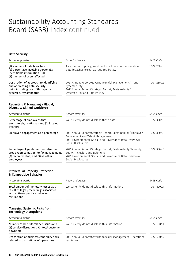### Sustainability Accounting Standards Board (SASB) Index continued

#### Data Security

| Accounting metric                                                                                                                         | Report reference                                                                                                                                                                     | SASB Code    |
|-------------------------------------------------------------------------------------------------------------------------------------------|--------------------------------------------------------------------------------------------------------------------------------------------------------------------------------------|--------------|
| (1) Number of data breaches,<br>(2) percentage involving personally<br>identifiable information (PII),<br>(3) number of users affected    | As a matter of policy, we do not disclose information about<br>data breaches except as required by law.                                                                              | TC-SI-230a.1 |
| Description of approach to identifying<br>and addressing data security<br>risks, including use of third-party<br>cybersecurity standards  | 2021 Annual Report/Governance/Risk Management/IT and<br>Cybersecurity<br>2021 Annual Report/Strategic Report/Sustainability/<br>Cybersecurity and Data Privacy                       | TC-SI-230a.2 |
| Recruiting & Managing a Global,<br>Diverse & Skilled Workforce                                                                            |                                                                                                                                                                                      |              |
| Accounting metric                                                                                                                         | Report reference                                                                                                                                                                     | SASB Code    |
| Percentage of employees that<br>are (1) foreign nationals and (2) located<br>offshore                                                     | We currently do not disclose these data.                                                                                                                                             | TC-SI-330a.1 |
| Employee engagement as a percentage                                                                                                       | 2021 Annual Report/Strategic Report/Sustainability/Employee<br>Engagement and Talent Management<br>2021 Environmental, Social, and Governance Data Overview/<br>Social Disclosures   | TC-SI-330a.2 |
| Percentage of gender and racial/ethnic<br>group representation for (1) management,<br>(2) technical staff, and (3) all other<br>employees | 2021 Annual Report/Strategic Report/Sustainability/Diversity,<br>Equity, Inclusion, and Belonging<br>2021 Environmental, Social, and Governance Data Overview/<br>Social Disclosures | TC-SI-330a.3 |
| <b>Intellectual Property Protection</b><br>& Competitive Behavior                                                                         |                                                                                                                                                                                      |              |
| Accounting metric                                                                                                                         | Report reference                                                                                                                                                                     | SASB Code    |
| Total amount of monetary losses as a<br>result of legal proceedings associated<br>with anti-competitive behavior<br>regulations           | We currently do not disclose this information.                                                                                                                                       | TC-SI-520a.1 |
| <b>Managing Systemic Risks from</b><br><b>Technology Disruptions</b>                                                                      |                                                                                                                                                                                      |              |
| Accounting metric                                                                                                                         | Report reference                                                                                                                                                                     | SASB Code    |
| Number of (1) performance issues and<br>(2) service disruptions; (3) total customer<br>downtime                                           | We currently do not disclose this information.                                                                                                                                       | TC-SI-550a.1 |
| Description of business continuity risks<br>related to disruptions of operations                                                          | 2021 Annual Report/Governance/Risk Management/Operational<br>resilience                                                                                                              | TC-SI-550a.2 |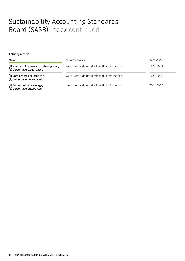### Sustainability Accounting Standards Board (SASB) Index continued

#### Activity metric

| Metric                                                                 | Report reference                               | SASB Code          |
|------------------------------------------------------------------------|------------------------------------------------|--------------------|
| (1) Number of licenses or subscriptions,<br>(2) percentage cloud-based | We currently do not disclose this information. | $TC-SI-000.A$      |
| (1) Data processing capacity,<br>(2) percentage outsourced             | We currently do not disclose this information. | <b>TC-SI-000.B</b> |
| (1) Amount of data storage,<br>(2) percentage outsourced               | We currently do not disclose this information. | $TC-SI-000.C$      |